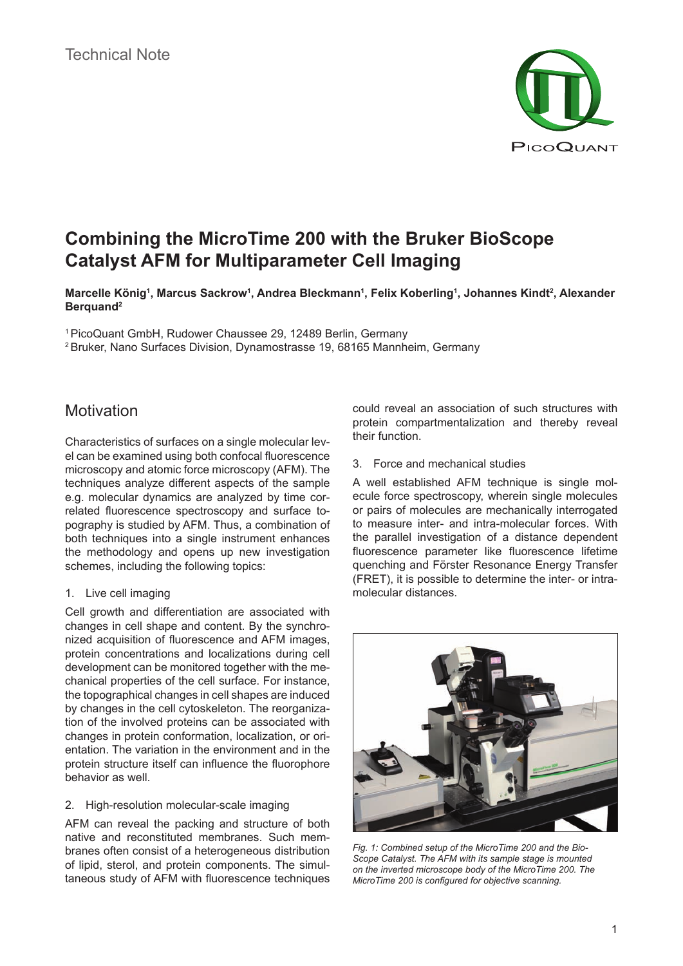

# **Combining the MicroTime 200 with the Bruker BioScope Catalyst AFM for Multiparameter Cell Imaging**

**Marcelle König1 , Marcus Sackrow1 , Andrea Bleckmann1 , Felix Koberling1 , Johannes Kindt2 , Alexander Berquand2**

1 PicoQuant GmbH, Rudower Chaussee 29, 12489 Berlin, Germany

2 Bruker, Nano Surfaces Division, Dynamostrasse 19, 68165 Mannheim, Germany

### **Motivation**

Characteristics of surfaces on a single molecular level can be examined using both confocal fluorescence microscopy and atomic force microscopy (AFM). The techniques analyze different aspects of the sample e.g. molecular dynamics are analyzed by time correlated fluorescence spectroscopy and surface topography is studied by AFM. Thus, a combination of both techniques into a single instrument enhances the methodology and opens up new investigation schemes, including the following topics:

### 1. Live cell imaging

Cell growth and differentiation are associated with changes in cell shape and content. By the synchronized acquisition of fluorescence and AFM images, protein concentrations and localizations during cell development can be monitored together with the mechanical properties of the cell surface. For instance, the topographical changes in cell shapes are induced by changes in the cell cytoskeleton. The reorganization of the involved proteins can be associated with changes in protein conformation, localization, or orientation. The variation in the environment and in the protein structure itself can influence the fluorophore behavior as well.

#### 2. High-resolution molecular-scale imaging

AFM can reveal the packing and structure of both native and reconstituted membranes. Such membranes often consist of a heterogeneous distribution of lipid, sterol, and protein components. The simultaneous study of AFM with fluorescence techniques could reveal an association of such structures with protein compartmentalization and thereby reveal their function.

#### 3. Force and mechanical studies

A well established AFM technique is single molecule force spectroscopy, wherein single molecules or pairs of molecules are mechanically interrogated to measure inter- and intra-molecular forces. With the parallel investigation of a distance dependent fluorescence parameter like fluorescence lifetime quenching and Förster Resonance Energy Transfer (FRET), it is possible to determine the inter- or intramolecular distances.



*Fig. 1: Combined setup of the MicroTime 200 and the Bio-Scope Catalyst. The AFM with its sample stage is mounted on the inverted microscope body of the MicroTime 200. The MicroTime 200 is configured for objective scanning.*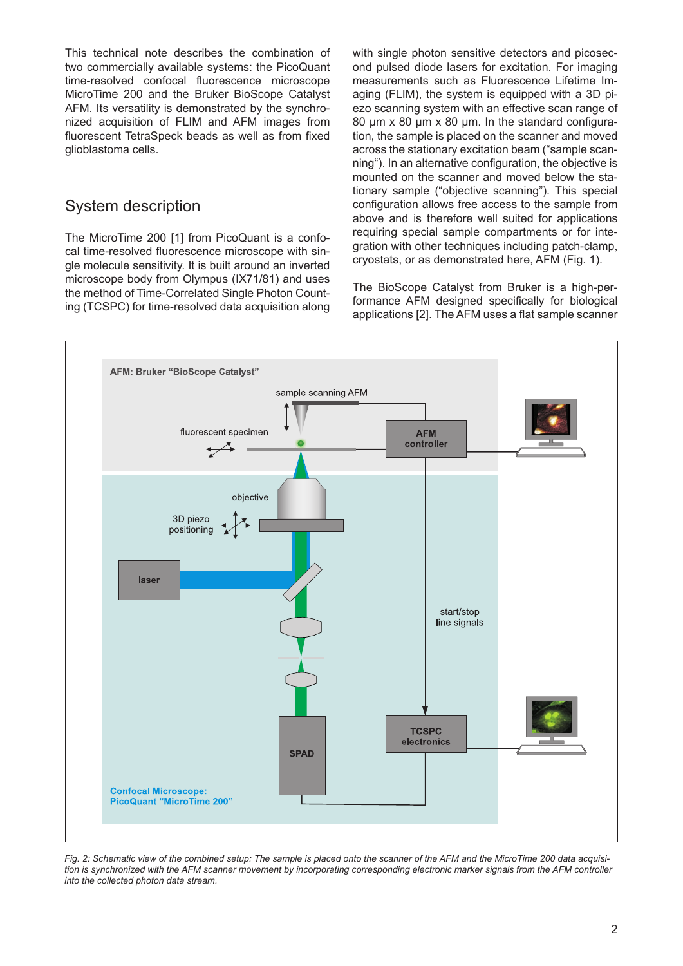This technical note describes the combination of two commercially available systems: the PicoQuant time-resolved confocal fluorescence microscope MicroTime 200 and the Bruker BioScope Catalyst AFM. Its versatility is demonstrated by the synchronized acquisition of FLIM and AFM images from fluorescent TetraSpeck beads as well as from fixed glioblastoma cells.

### System description

The MicroTime 200 [1] from PicoQuant is a confocal time-resolved fluorescence microscope with single molecule sensitivity. It is built around an inverted microscope body from Olympus (IX71/81) and uses the method of Time-Correlated Single Photon Counting (TCSPC) for time-resolved data acquisition along with single photon sensitive detectors and picosecond pulsed diode lasers for excitation. For imaging measurements such as Fluorescence Lifetime Imaging (FLIM), the system is equipped with a 3D piezo scanning system with an effective scan range of 80 um x 80 um x 80 um. In the standard configuration, the sample is placed on the scanner and moved across the stationary excitation beam ("sample scanning"). In an alternative configuration, the objective is mounted on the scanner and moved below the stationary sample ("objective scanning"). This special configuration allows free access to the sample from above and is therefore well suited for applications requiring special sample compartments or for integration with other techniques including patch-clamp, cryostats, or as demonstrated here, AFM (Fig. 1).

The BioScope Catalyst from Bruker is a high-performance AFM designed specifically for biological applications [2]. The AFM uses a flat sample scanner



*Fig. 2: Schematic view of the combined setup: The sample is placed onto the scanner of the AFM and the MicroTime 200 data acquisition is synchronized with the AFM scanner movement by incorporating corresponding electronic marker signals from the AFM controller into the collected photon data stream.*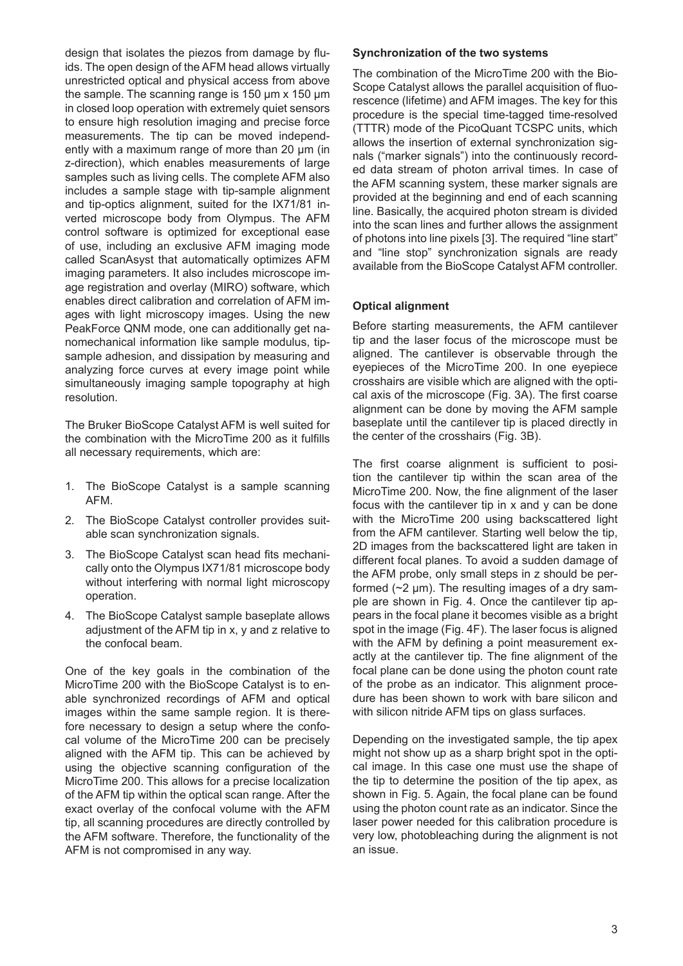design that isolates the piezos from damage by fluids. The open design of the AFM head allows virtually unrestricted optical and physical access from above the sample. The scanning range is 150 µm x 150 µm in closed loop operation with extremely quiet sensors to ensure high resolution imaging and precise force measurements. The tip can be moved independently with a maximum range of more than 20 µm (in z-direction), which enables measurements of large samples such as living cells. The complete AFM also includes a sample stage with tip-sample alignment and tip-optics alignment, suited for the IX71/81 inverted microscope body from Olympus. The AFM control software is optimized for exceptional ease of use, including an exclusive AFM imaging mode called ScanAsyst that automatically optimizes AFM imaging parameters. It also includes microscope image registration and overlay (MIRO) software, which enables direct calibration and correlation of AFM images with light microscopy images. Using the new PeakForce QNM mode, one can additionally get nanomechanical information like sample modulus, tipsample adhesion, and dissipation by measuring and analyzing force curves at every image point while simultaneously imaging sample topography at high resolution.

The Bruker BioScope Catalyst AFM is well suited for the combination with the MicroTime 200 as it fulfills all necessary requirements, which are:

- 1. The BioScope Catalyst is a sample scanning AFM.
- 2. The BioScope Catalyst controller provides suitable scan synchronization signals.
- 3. The BioScope Catalyst scan head fits mechanically onto the Olympus IX71/81 microscope body without interfering with normal light microscopy operation.
- 4. The BioScope Catalyst sample baseplate allows adjustment of the AFM tip in x, y and z relative to the confocal beam.

One of the key goals in the combination of the MicroTime 200 with the BioScope Catalyst is to enable synchronized recordings of AFM and optical images within the same sample region. It is therefore necessary to design a setup where the confocal volume of the MicroTime 200 can be precisely aligned with the AFM tip. This can be achieved by using the objective scanning configuration of the MicroTime 200. This allows for a precise localization of the AFM tip within the optical scan range. After the exact overlay of the confocal volume with the AFM tip, all scanning procedures are directly controlled by the AFM software. Therefore, the functionality of the AFM is not compromised in any way.

#### **Synchronization of the two systems**

The combination of the MicroTime 200 with the Bio-Scope Catalyst allows the parallel acquisition of fluorescence (lifetime) and AFM images. The key for this procedure is the special time-tagged time-resolved (TTTR) mode of the PicoQuant TCSPC units, which allows the insertion of external synchronization signals ("marker signals") into the continuously recorded data stream of photon arrival times. In case of the AFM scanning system, these marker signals are provided at the beginning and end of each scanning line. Basically, the acquired photon stream is divided into the scan lines and further allows the assignment of photons into line pixels [3]. The required "line start" and "line stop" synchronization signals are ready available from the BioScope Catalyst AFM controller.

#### **Optical alignment**

Before starting measurements, the AFM cantilever tip and the laser focus of the microscope must be aligned. The cantilever is observable through the eyepieces of the MicroTime 200. In one eyepiece crosshairs are visible which are aligned with the optical axis of the microscope (Fig. 3A). The first coarse alignment can be done by moving the AFM sample baseplate until the cantilever tip is placed directly in the center of the crosshairs (Fig. 3B).

The first coarse alignment is sufficient to position the cantilever tip within the scan area of the MicroTime 200. Now, the fine alignment of the laser focus with the cantilever tip in x and y can be done with the MicroTime 200 using backscattered light from the AFM cantilever. Starting well below the tip, 2D images from the backscattered light are taken in different focal planes. To avoid a sudden damage of the AFM probe, only small steps in z should be performed  $(\sim 2 \mu m)$ . The resulting images of a dry sample are shown in Fig. 4. Once the cantilever tip appears in the focal plane it becomes visible as a bright spot in the image (Fig. 4F). The laser focus is aligned with the AFM by defining a point measurement exactly at the cantilever tip. The fine alignment of the focal plane can be done using the photon count rate of the probe as an indicator. This alignment procedure has been shown to work with bare silicon and with silicon nitride AFM tips on glass surfaces.

Depending on the investigated sample, the tip apex might not show up as a sharp bright spot in the optical image. In this case one must use the shape of the tip to determine the position of the tip apex, as shown in Fig. 5. Again, the focal plane can be found using the photon count rate as an indicator. Since the laser power needed for this calibration procedure is very low, photobleaching during the alignment is not an issue.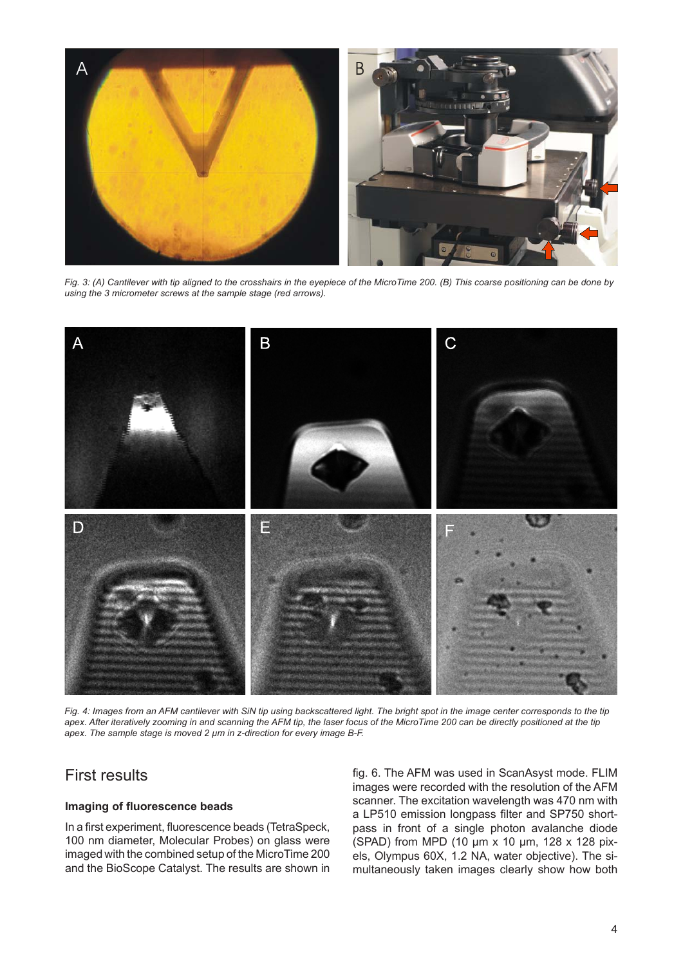

*Fig. 3: (A) Cantilever with tip aligned to the crosshairs in the eyepiece of the MicroTime 200. (B) This coarse positioning can be done by using the 3 micrometer screws at the sample stage (red arrows).*



Fig. 4: Images from an AFM cantilever with SiN tip using backscattered light. The bright spot in the image center corresponds to the tip *apex. After iteratively zooming in and scanning the AFM tip, the laser focus of the MicroTime 200 can be directly positioned at the tip apex. The sample stage is moved 2 µm in z-direction for every image B-F.*

## First results

#### **Imaging of fluorescence beads**

In a first experiment, fluorescence beads (TetraSpeck, 100 nm diameter, Molecular Probes) on glass were imaged with the combined setup of the MicroTime 200 and the BioScope Catalyst. The results are shown in fig. 6. The AFM was used in ScanAsyst mode. FLIM images were recorded with the resolution of the AFM scanner. The excitation wavelength was 470 nm with a LP510 emission longpass filter and SP750 shortpass in front of a single photon avalanche diode (SPAD) from MPD (10 µm x 10 µm, 128 x 128 pixels, Olympus 60X, 1.2 NA, water objective). The simultaneously taken images clearly show how both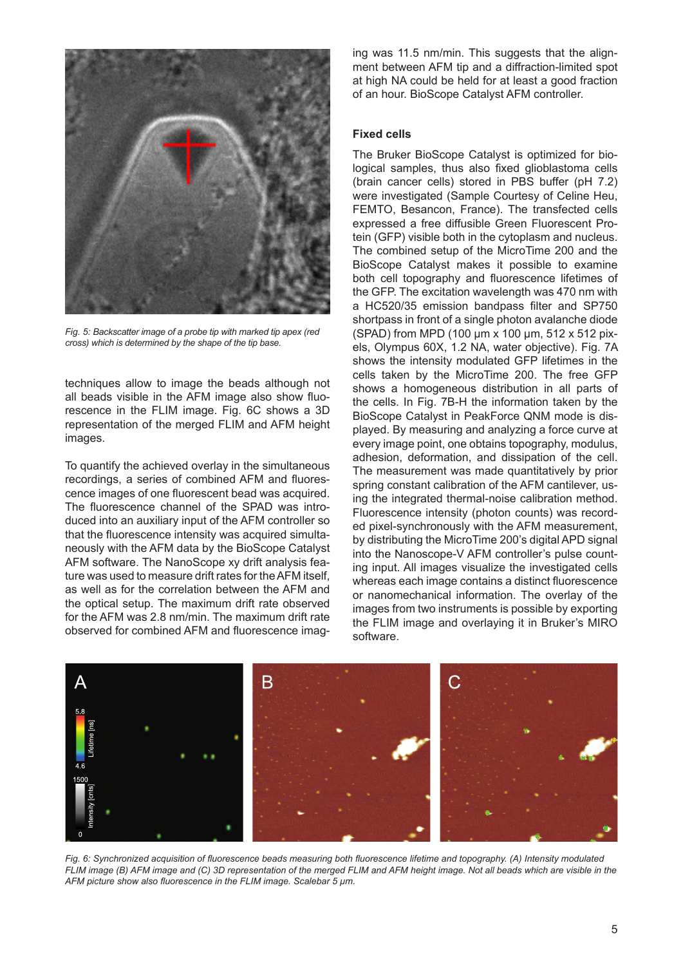

*Fig. 5: Backscatter image of a probe tip with marked tip apex (red cross) which is determined by the shape of the tip base.*

techniques allow to image the beads although not all beads visible in the AFM image also show fluorescence in the FLIM image. Fig. 6C shows a 3D representation of the merged FLIM and AFM height images.

To quantify the achieved overlay in the simultaneous recordings, a series of combined AFM and fluorescence images of one fluorescent bead was acquired. The fluorescence channel of the SPAD was introduced into an auxiliary input of the AFM controller so that the fluorescence intensity was acquired simultaneously with the AFM data by the BioScope Catalyst AFM software. The NanoScope xy drift analysis feature was used to measure drift rates for the AFM itself, as well as for the correlation between the AFM and the optical setup. The maximum drift rate observed for the AFM was 2.8 nm/min. The maximum drift rate observed for combined AFM and fluorescence imag-

ing was 11.5 nm/min. This suggests that the alignment between AFM tip and a diffraction-limited spot at high NA could be held for at least a good fraction of an hour. BioScope Catalyst AFM controller.

#### **Fixed cells**

The Bruker BioScope Catalyst is optimized for biological samples, thus also fixed glioblastoma cells (brain cancer cells) stored in PBS buffer (pH 7.2) were investigated (Sample Courtesy of Celine Heu, FEMTO, Besancon, France). The transfected cells expressed a free diffusible Green Fluorescent Protein (GFP) visible both in the cytoplasm and nucleus. The combined setup of the MicroTime 200 and the BioScope Catalyst makes it possible to examine both cell topography and fluorescence lifetimes of the GFP. The excitation wavelength was 470 nm with a HC520/35 emission bandpass filter and SP750 shortpass in front of a single photon avalanche diode (SPAD) from MPD (100 µm x 100 µm, 512 x 512 pixels, Olympus 60X, 1.2 NA, water objective). Fig. 7A shows the intensity modulated GFP lifetimes in the cells taken by the MicroTime 200. The free GFP shows a homogeneous distribution in all parts of the cells. In Fig. 7B-H the information taken by the BioScope Catalyst in PeakForce QNM mode is displayed. By measuring and analyzing a force curve at every image point, one obtains topography, modulus, adhesion, deformation, and dissipation of the cell. The measurement was made quantitatively by prior spring constant calibration of the AFM cantilever, using the integrated thermal-noise calibration method. Fluorescence intensity (photon counts) was recorded pixel-synchronously with the AFM measurement, by distributing the MicroTime 200's digital APD signal into the Nanoscope-V AFM controller's pulse counting input. All images visualize the investigated cells whereas each image contains a distinct fluorescence or nanomechanical information. The overlay of the images from two instruments is possible by exporting the FLIM image and overlaying it in Bruker's MIRO software.



*Fig. 6: Synchronized acquisition of fluorescence beads measuring both fluorescence lifetime and topography. (A) Intensity modulated FLIM image (B) AFM image and (C) 3D representation of the merged FLIM and AFM height image. Not all beads which are visible in the AFM picture show also fluorescence in the FLIM image. Scalebar 5 µm.*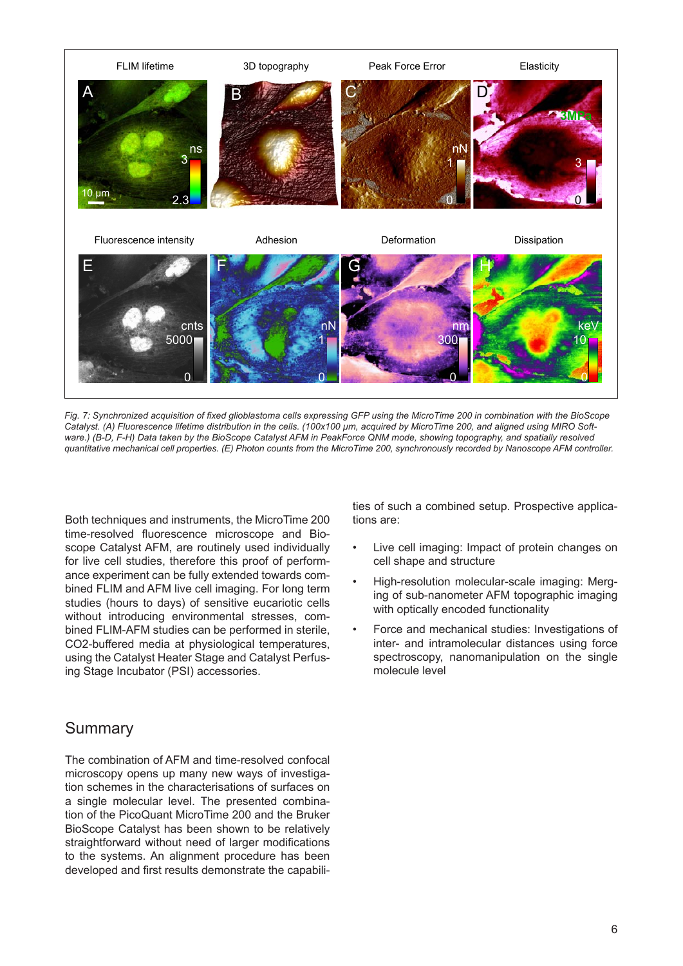

*Fig. 7: Synchronized acquisition of fixed glioblastoma cells expressing GFP using the MicroTime 200 in combination with the BioScope*  Catalyst. (A) Fluorescence lifetime distribution in the cells. (100x100 µm, acquired by MicroTime 200, and aligned using MIRO Soft*ware.) (B-D, F-H) Data taken by the BioScope Catalyst AFM in PeakForce QNM mode, showing topography, and spatially resolved quantitative mechanical cell properties. (E) Photon counts from the MicroTime 200, synchronously recorded by Nanoscope AFM controller.*

Both techniques and instruments, the MicroTime 200 time-resolved fluorescence microscope and Bioscope Catalyst AFM, are routinely used individually for live cell studies, therefore this proof of performance experiment can be fully extended towards combined FLIM and AFM live cell imaging. For long term studies (hours to days) of sensitive eucariotic cells without introducing environmental stresses, combined FLIM-AFM studies can be performed in sterile, CO2-buffered media at physiological temperatures, using the Catalyst Heater Stage and Catalyst Perfusing Stage Incubator (PSI) accessories.

### Summary

The combination of AFM and time-resolved confocal microscopy opens up many new ways of investigation schemes in the characterisations of surfaces on a single molecular level. The presented combination of the PicoQuant MicroTime 200 and the Bruker BioScope Catalyst has been shown to be relatively straightforward without need of larger modifications to the systems. An alignment procedure has been developed and first results demonstrate the capabili-

ties of such a combined setup. Prospective applications are:

- Live cell imaging: Impact of protein changes on cell shape and structure
- High-resolution molecular-scale imaging: Merging of sub-nanometer AFM topographic imaging with optically encoded functionality
- Force and mechanical studies: Investigations of inter- and intramolecular distances using force spectroscopy, nanomanipulation on the single molecule level